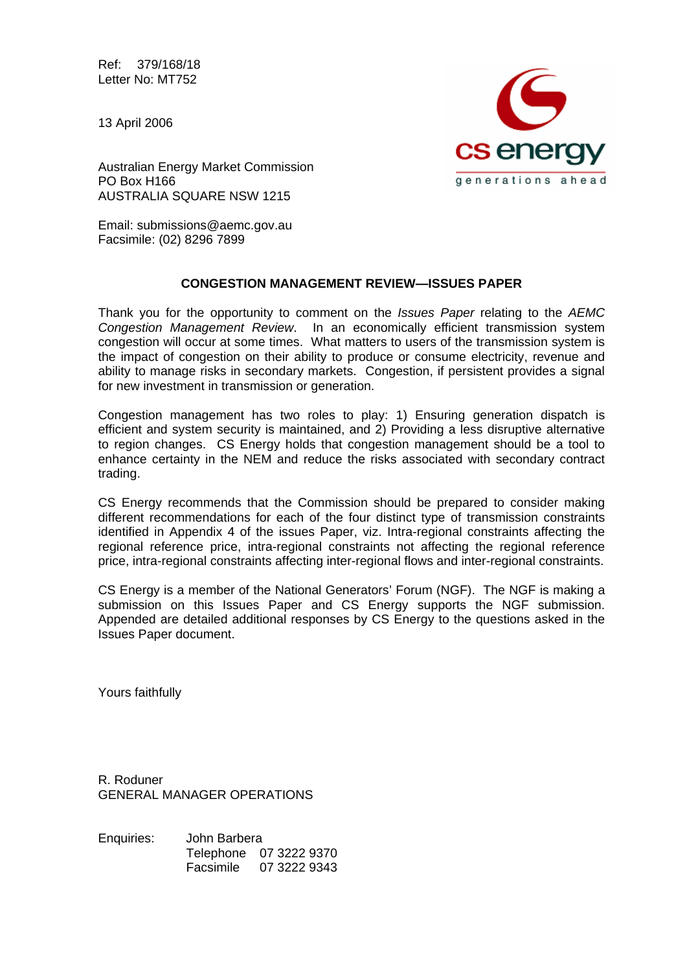Ref: 379/168/18 Letter No: MT752

13 April 2006



Australian Energy Market Commission PO Box H166 AUSTRALIA SQUARE NSW 1215

Email: submissions@aemc.gov.au Facsimile: (02) 8296 7899

# **CONGESTION MANAGEMENT REVIEW—ISSUES PAPER**

Thank you for the opportunity to comment on the *Issues Paper* relating to the *AEMC Congestion Management Review*. In an economically efficient transmission system congestion will occur at some times. What matters to users of the transmission system is the impact of congestion on their ability to produce or consume electricity, revenue and ability to manage risks in secondary markets. Congestion, if persistent provides a signal for new investment in transmission or generation.

Congestion management has two roles to play: 1) Ensuring generation dispatch is efficient and system security is maintained, and 2) Providing a less disruptive alternative to region changes. CS Energy holds that congestion management should be a tool to enhance certainty in the NEM and reduce the risks associated with secondary contract trading.

CS Energy recommends that the Commission should be prepared to consider making different recommendations for each of the four distinct type of transmission constraints identified in Appendix 4 of the issues Paper, viz. Intra-regional constraints affecting the regional reference price, intra-regional constraints not affecting the regional reference price, intra-regional constraints affecting inter-regional flows and inter-regional constraints.

CS Energy is a member of the National Generators' Forum (NGF). The NGF is making a submission on this Issues Paper and CS Energy supports the NGF submission. Appended are detailed additional responses by CS Energy to the questions asked in the Issues Paper document.

Yours faithfully

R. Roduner GENERAL MANAGER OPERATIONS

Enquiries: John Barbera Telephone 07 3222 9370 Facsimile 07 3222 9343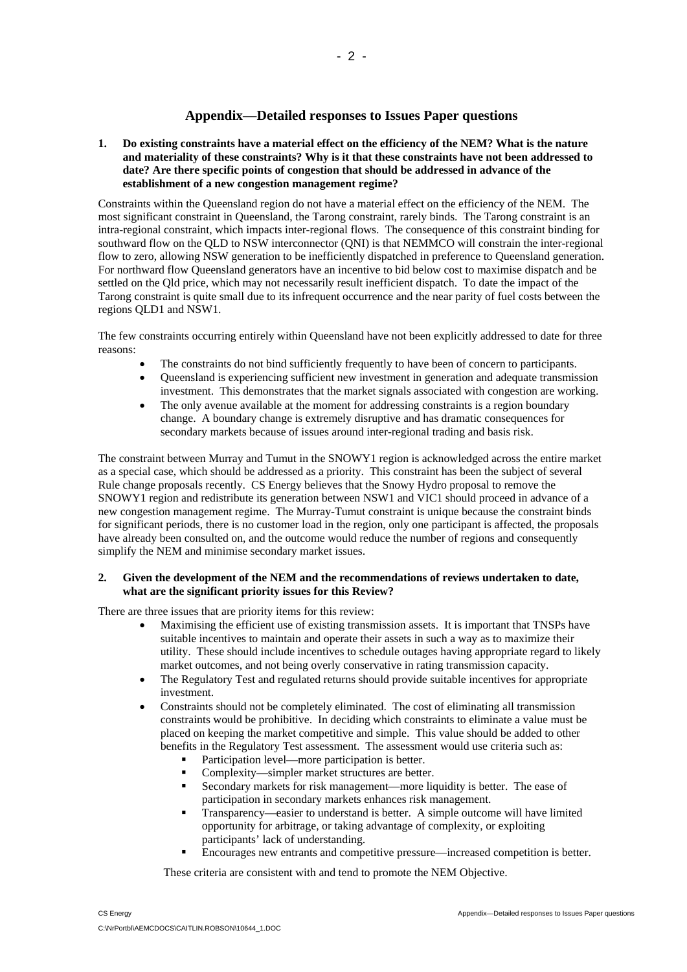# **Appendix—Detailed responses to Issues Paper questions**

**1. Do existing constraints have a material effect on the efficiency of the NEM? What is the nature and materiality of these constraints? Why is it that these constraints have not been addressed to date? Are there specific points of congestion that should be addressed in advance of the establishment of a new congestion management regime?** 

Constraints within the Queensland region do not have a material effect on the efficiency of the NEM. The most significant constraint in Queensland, the Tarong constraint, rarely binds. The Tarong constraint is an intra-regional constraint, which impacts inter-regional flows. The consequence of this constraint binding for southward flow on the QLD to NSW interconnector (QNI) is that NEMMCO will constrain the inter-regional flow to zero, allowing NSW generation to be inefficiently dispatched in preference to Queensland generation. For northward flow Queensland generators have an incentive to bid below cost to maximise dispatch and be settled on the Qld price, which may not necessarily result inefficient dispatch. To date the impact of the Tarong constraint is quite small due to its infrequent occurrence and the near parity of fuel costs between the regions QLD1 and NSW1.

The few constraints occurring entirely within Queensland have not been explicitly addressed to date for three reasons:

- The constraints do not bind sufficiently frequently to have been of concern to participants.
- Queensland is experiencing sufficient new investment in generation and adequate transmission investment. This demonstrates that the market signals associated with congestion are working.
- The only avenue available at the moment for addressing constraints is a region boundary change. A boundary change is extremely disruptive and has dramatic consequences for secondary markets because of issues around inter-regional trading and basis risk.

The constraint between Murray and Tumut in the SNOWY1 region is acknowledged across the entire market as a special case, which should be addressed as a priority. This constraint has been the subject of several Rule change proposals recently. CS Energy believes that the Snowy Hydro proposal to remove the SNOWY1 region and redistribute its generation between NSW1 and VIC1 should proceed in advance of a new congestion management regime. The Murray-Tumut constraint is unique because the constraint binds for significant periods, there is no customer load in the region, only one participant is affected, the proposals have already been consulted on, and the outcome would reduce the number of regions and consequently simplify the NEM and minimise secondary market issues.

## **2. Given the development of the NEM and the recommendations of reviews undertaken to date, what are the significant priority issues for this Review?**

There are three issues that are priority items for this review:

- Maximising the efficient use of existing transmission assets. It is important that TNSPs have suitable incentives to maintain and operate their assets in such a way as to maximize their utility. These should include incentives to schedule outages having appropriate regard to likely market outcomes, and not being overly conservative in rating transmission capacity.
- The Regulatory Test and regulated returns should provide suitable incentives for appropriate investment.
- Constraints should not be completely eliminated. The cost of eliminating all transmission constraints would be prohibitive. In deciding which constraints to eliminate a value must be placed on keeping the market competitive and simple. This value should be added to other benefits in the Regulatory Test assessment. The assessment would use criteria such as:
	- Participation level—more participation is better.
	- Complexity—simpler market structures are better.
	- Secondary markets for risk management—more liquidity is better. The ease of participation in secondary markets enhances risk management.
	- Transparency—easier to understand is better. A simple outcome will have limited opportunity for arbitrage, or taking advantage of complexity, or exploiting participants' lack of understanding.
	- Encourages new entrants and competitive pressure—increased competition is better.

These criteria are consistent with and tend to promote the NEM Objective.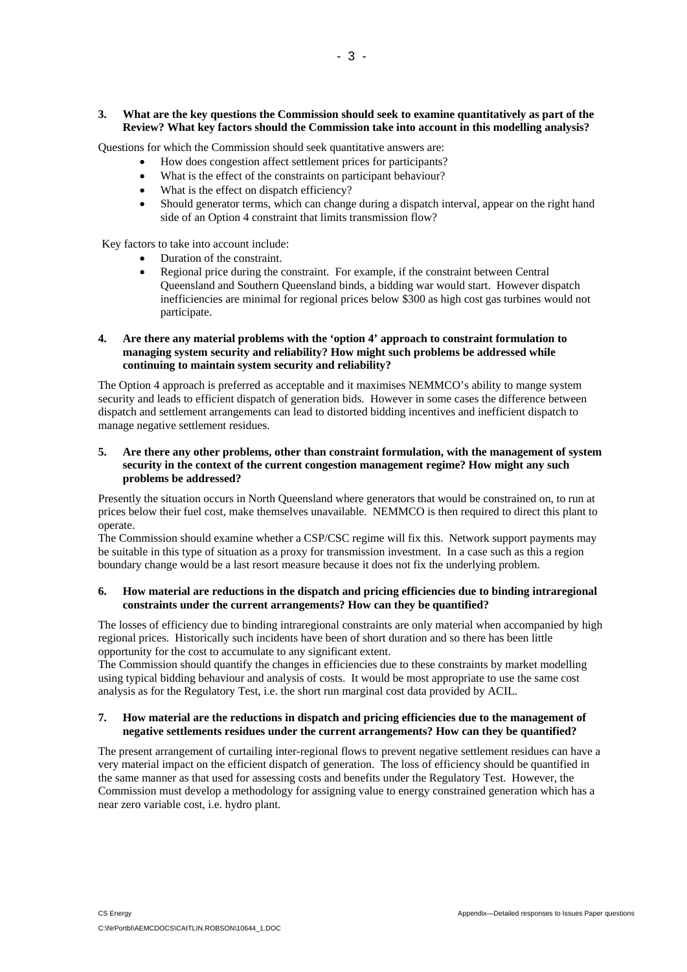## **3. What are the key questions the Commission should seek to examine quantitatively as part of the Review? What key factors should the Commission take into account in this modelling analysis?**

Questions for which the Commission should seek quantitative answers are:

- How does congestion affect settlement prices for participants?
- What is the effect of the constraints on participant behaviour?
- What is the effect on dispatch efficiency?
- Should generator terms, which can change during a dispatch interval, appear on the right hand side of an Option 4 constraint that limits transmission flow?

Key factors to take into account include:

- Duration of the constraint.
- Regional price during the constraint. For example, if the constraint between Central Queensland and Southern Queensland binds, a bidding war would start. However dispatch inefficiencies are minimal for regional prices below \$300 as high cost gas turbines would not participate.

#### **4. Are there any material problems with the 'option 4' approach to constraint formulation to managing system security and reliability? How might such problems be addressed while continuing to maintain system security and reliability?**

The Option 4 approach is preferred as acceptable and it maximises NEMMCO's ability to mange system security and leads to efficient dispatch of generation bids. However in some cases the difference between dispatch and settlement arrangements can lead to distorted bidding incentives and inefficient dispatch to manage negative settlement residues.

# **5. Are there any other problems, other than constraint formulation, with the management of system security in the context of the current congestion management regime? How might any such problems be addressed?**

Presently the situation occurs in North Queensland where generators that would be constrained on, to run at prices below their fuel cost, make themselves unavailable. NEMMCO is then required to direct this plant to operate.

The Commission should examine whether a CSP/CSC regime will fix this. Network support payments may be suitable in this type of situation as a proxy for transmission investment. In a case such as this a region boundary change would be a last resort measure because it does not fix the underlying problem.

# **6. How material are reductions in the dispatch and pricing efficiencies due to binding intraregional constraints under the current arrangements? How can they be quantified?**

The losses of efficiency due to binding intraregional constraints are only material when accompanied by high regional prices. Historically such incidents have been of short duration and so there has been little opportunity for the cost to accumulate to any significant extent.

The Commission should quantify the changes in efficiencies due to these constraints by market modelling using typical bidding behaviour and analysis of costs. It would be most appropriate to use the same cost analysis as for the Regulatory Test, i.e. the short run marginal cost data provided by ACIL.

# **7. How material are the reductions in dispatch and pricing efficiencies due to the management of negative settlements residues under the current arrangements? How can they be quantified?**

The present arrangement of curtailing inter-regional flows to prevent negative settlement residues can have a very material impact on the efficient dispatch of generation. The loss of efficiency should be quantified in the same manner as that used for assessing costs and benefits under the Regulatory Test. However, the Commission must develop a methodology for assigning value to energy constrained generation which has a near zero variable cost, i.e. hydro plant.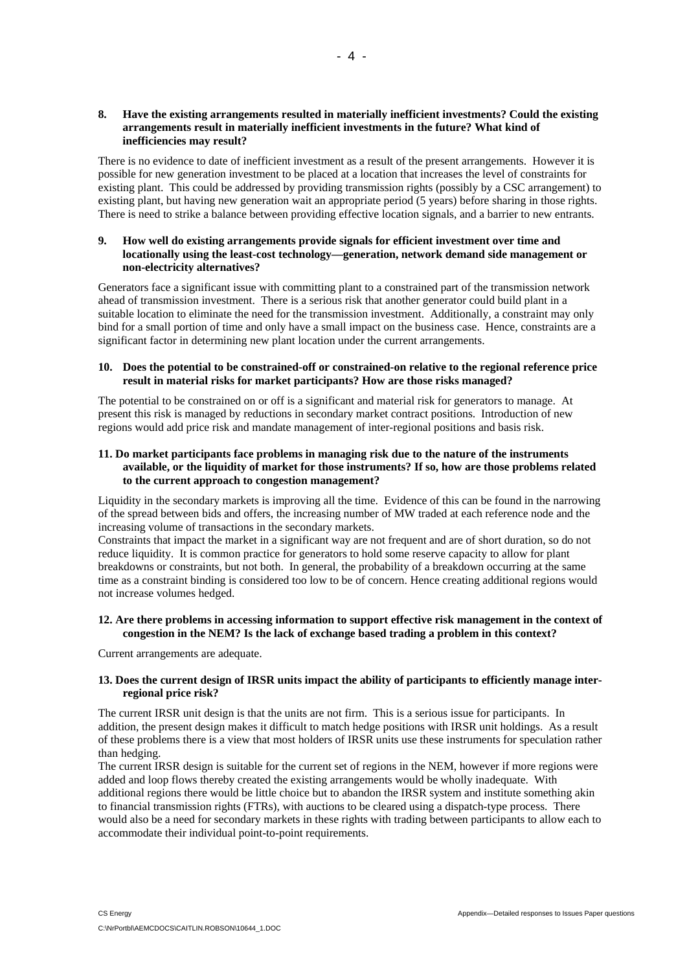## **8. Have the existing arrangements resulted in materially inefficient investments? Could the existing arrangements result in materially inefficient investments in the future? What kind of inefficiencies may result?**

 $-4 -$ 

There is no evidence to date of inefficient investment as a result of the present arrangements. However it is possible for new generation investment to be placed at a location that increases the level of constraints for existing plant. This could be addressed by providing transmission rights (possibly by a CSC arrangement) to existing plant, but having new generation wait an appropriate period (5 years) before sharing in those rights. There is need to strike a balance between providing effective location signals, and a barrier to new entrants.

## **9. How well do existing arrangements provide signals for efficient investment over time and locationally using the least-cost technology—generation, network demand side management or non-electricity alternatives?**

Generators face a significant issue with committing plant to a constrained part of the transmission network ahead of transmission investment. There is a serious risk that another generator could build plant in a suitable location to eliminate the need for the transmission investment. Additionally, a constraint may only bind for a small portion of time and only have a small impact on the business case. Hence, constraints are a significant factor in determining new plant location under the current arrangements.

## **10. Does the potential to be constrained-off or constrained-on relative to the regional reference price result in material risks for market participants? How are those risks managed?**

The potential to be constrained on or off is a significant and material risk for generators to manage. At present this risk is managed by reductions in secondary market contract positions. Introduction of new regions would add price risk and mandate management of inter-regional positions and basis risk.

## **11. Do market participants face problems in managing risk due to the nature of the instruments available, or the liquidity of market for those instruments? If so, how are those problems related to the current approach to congestion management?**

Liquidity in the secondary markets is improving all the time. Evidence of this can be found in the narrowing of the spread between bids and offers, the increasing number of MW traded at each reference node and the increasing volume of transactions in the secondary markets.

Constraints that impact the market in a significant way are not frequent and are of short duration, so do not reduce liquidity. It is common practice for generators to hold some reserve capacity to allow for plant breakdowns or constraints, but not both. In general, the probability of a breakdown occurring at the same time as a constraint binding is considered too low to be of concern. Hence creating additional regions would not increase volumes hedged.

## **12. Are there problems in accessing information to support effective risk management in the context of congestion in the NEM? Is the lack of exchange based trading a problem in this context?**

Current arrangements are adequate.

## **13. Does the current design of IRSR units impact the ability of participants to efficiently manage interregional price risk?**

The current IRSR unit design is that the units are not firm. This is a serious issue for participants. In addition, the present design makes it difficult to match hedge positions with IRSR unit holdings. As a result of these problems there is a view that most holders of IRSR units use these instruments for speculation rather than hedging.

The current IRSR design is suitable for the current set of regions in the NEM, however if more regions were added and loop flows thereby created the existing arrangements would be wholly inadequate. With additional regions there would be little choice but to abandon the IRSR system and institute something akin to financial transmission rights (FTRs), with auctions to be cleared using a dispatch-type process. There would also be a need for secondary markets in these rights with trading between participants to allow each to accommodate their individual point-to-point requirements.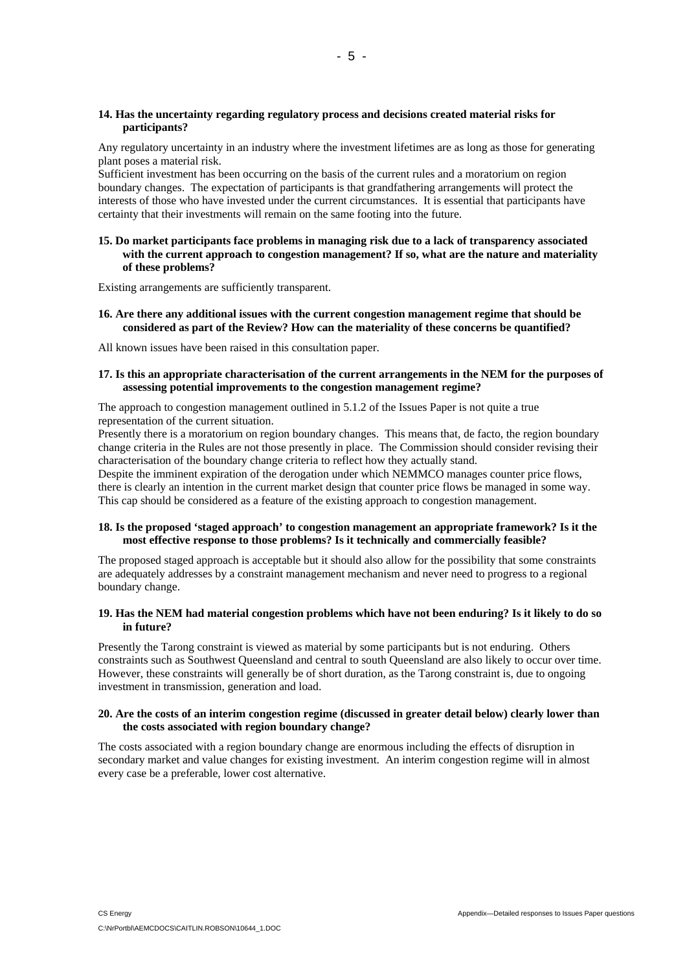## **14. Has the uncertainty regarding regulatory process and decisions created material risks for participants?**

Any regulatory uncertainty in an industry where the investment lifetimes are as long as those for generating plant poses a material risk.

Sufficient investment has been occurring on the basis of the current rules and a moratorium on region boundary changes. The expectation of participants is that grandfathering arrangements will protect the interests of those who have invested under the current circumstances. It is essential that participants have certainty that their investments will remain on the same footing into the future.

**15. Do market participants face problems in managing risk due to a lack of transparency associated with the current approach to congestion management? If so, what are the nature and materiality of these problems?** 

Existing arrangements are sufficiently transparent.

**16. Are there any additional issues with the current congestion management regime that should be considered as part of the Review? How can the materiality of these concerns be quantified?** 

All known issues have been raised in this consultation paper.

## **17. Is this an appropriate characterisation of the current arrangements in the NEM for the purposes of assessing potential improvements to the congestion management regime?**

The approach to congestion management outlined in 5.1.2 of the Issues Paper is not quite a true representation of the current situation.

Presently there is a moratorium on region boundary changes. This means that, de facto, the region boundary change criteria in the Rules are not those presently in place. The Commission should consider revising their characterisation of the boundary change criteria to reflect how they actually stand.

Despite the imminent expiration of the derogation under which NEMMCO manages counter price flows, there is clearly an intention in the current market design that counter price flows be managed in some way. This cap should be considered as a feature of the existing approach to congestion management.

# **18. Is the proposed 'staged approach' to congestion management an appropriate framework? Is it the most effective response to those problems? Is it technically and commercially feasible?**

The proposed staged approach is acceptable but it should also allow for the possibility that some constraints are adequately addresses by a constraint management mechanism and never need to progress to a regional boundary change.

# **19. Has the NEM had material congestion problems which have not been enduring? Is it likely to do so in future?**

Presently the Tarong constraint is viewed as material by some participants but is not enduring. Others constraints such as Southwest Queensland and central to south Queensland are also likely to occur over time. However, these constraints will generally be of short duration, as the Tarong constraint is, due to ongoing investment in transmission, generation and load.

#### **20. Are the costs of an interim congestion regime (discussed in greater detail below) clearly lower than the costs associated with region boundary change?**

The costs associated with a region boundary change are enormous including the effects of disruption in secondary market and value changes for existing investment. An interim congestion regime will in almost every case be a preferable, lower cost alternative.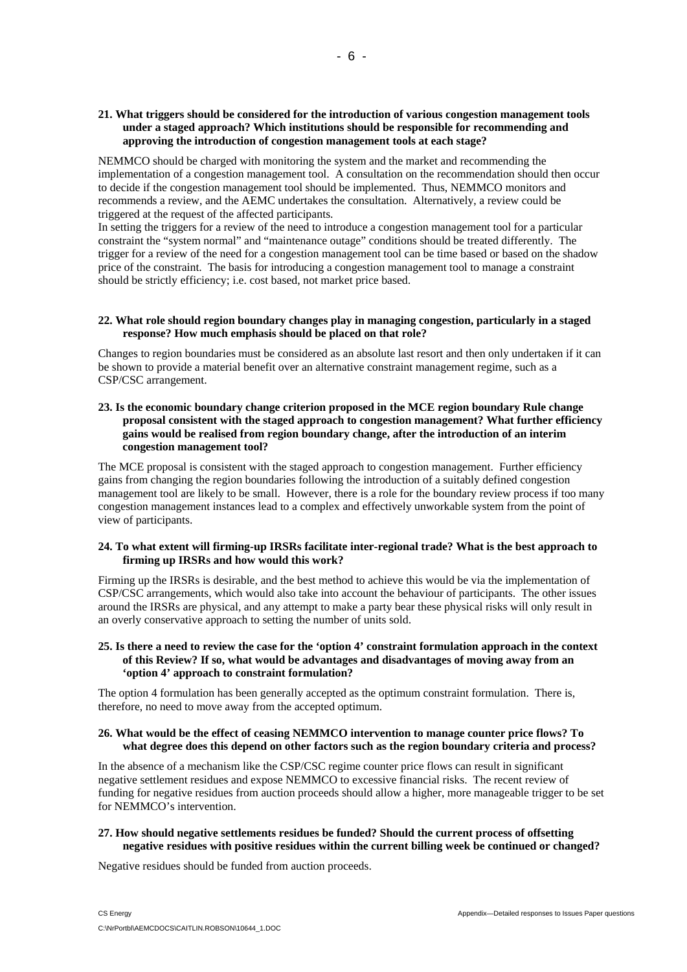## **21. What triggers should be considered for the introduction of various congestion management tools under a staged approach? Which institutions should be responsible for recommending and approving the introduction of congestion management tools at each stage?**

NEMMCO should be charged with monitoring the system and the market and recommending the implementation of a congestion management tool. A consultation on the recommendation should then occur to decide if the congestion management tool should be implemented. Thus, NEMMCO monitors and recommends a review, and the AEMC undertakes the consultation. Alternatively, a review could be triggered at the request of the affected participants.

In setting the triggers for a review of the need to introduce a congestion management tool for a particular constraint the "system normal" and "maintenance outage" conditions should be treated differently. The trigger for a review of the need for a congestion management tool can be time based or based on the shadow price of the constraint. The basis for introducing a congestion management tool to manage a constraint should be strictly efficiency; i.e. cost based, not market price based.

## **22. What role should region boundary changes play in managing congestion, particularly in a staged response? How much emphasis should be placed on that role?**

Changes to region boundaries must be considered as an absolute last resort and then only undertaken if it can be shown to provide a material benefit over an alternative constraint management regime, such as a CSP/CSC arrangement.

## **23. Is the economic boundary change criterion proposed in the MCE region boundary Rule change proposal consistent with the staged approach to congestion management? What further efficiency gains would be realised from region boundary change, after the introduction of an interim congestion management tool?**

The MCE proposal is consistent with the staged approach to congestion management. Further efficiency gains from changing the region boundaries following the introduction of a suitably defined congestion management tool are likely to be small. However, there is a role for the boundary review process if too many congestion management instances lead to a complex and effectively unworkable system from the point of view of participants.

## **24. To what extent will firming-up IRSRs facilitate inter-regional trade? What is the best approach to firming up IRSRs and how would this work?**

Firming up the IRSRs is desirable, and the best method to achieve this would be via the implementation of CSP/CSC arrangements, which would also take into account the behaviour of participants. The other issues around the IRSRs are physical, and any attempt to make a party bear these physical risks will only result in an overly conservative approach to setting the number of units sold.

## **25. Is there a need to review the case for the 'option 4' constraint formulation approach in the context of this Review? If so, what would be advantages and disadvantages of moving away from an 'option 4' approach to constraint formulation?**

The option 4 formulation has been generally accepted as the optimum constraint formulation. There is, therefore, no need to move away from the accepted optimum.

## **26. What would be the effect of ceasing NEMMCO intervention to manage counter price flows? To what degree does this depend on other factors such as the region boundary criteria and process?**

In the absence of a mechanism like the CSP/CSC regime counter price flows can result in significant negative settlement residues and expose NEMMCO to excessive financial risks. The recent review of funding for negative residues from auction proceeds should allow a higher, more manageable trigger to be set for NEMMCO's intervention.

## **27. How should negative settlements residues be funded? Should the current process of offsetting negative residues with positive residues within the current billing week be continued or changed?**

Negative residues should be funded from auction proceeds.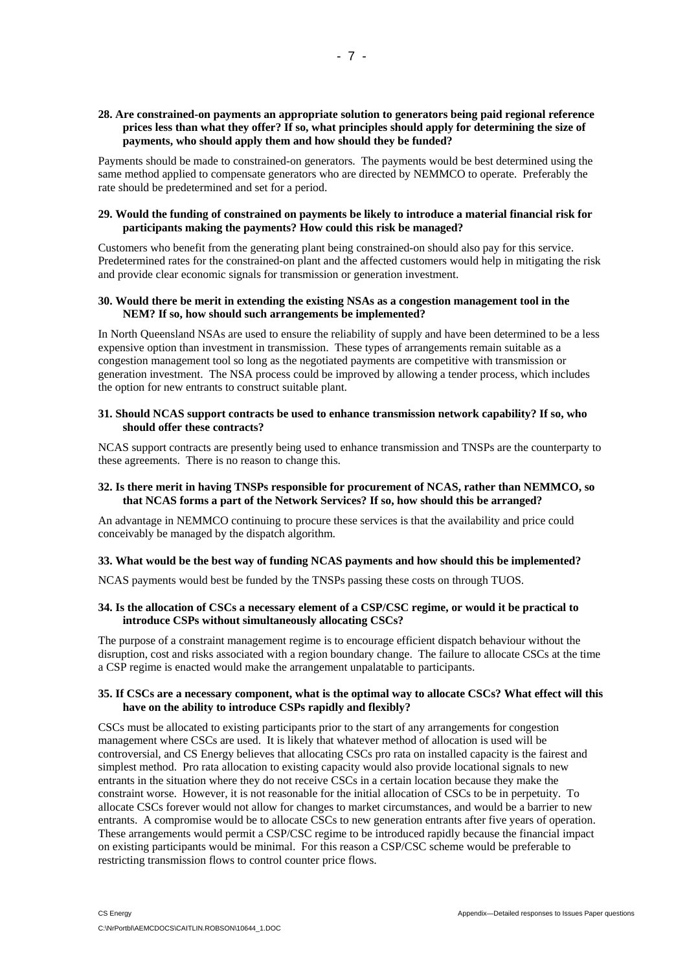## **28. Are constrained-on payments an appropriate solution to generators being paid regional reference prices less than what they offer? If so, what principles should apply for determining the size of payments, who should apply them and how should they be funded?**

Payments should be made to constrained-on generators. The payments would be best determined using the same method applied to compensate generators who are directed by NEMMCO to operate. Preferably the rate should be predetermined and set for a period.

## **29. Would the funding of constrained on payments be likely to introduce a material financial risk for participants making the payments? How could this risk be managed?**

Customers who benefit from the generating plant being constrained-on should also pay for this service. Predetermined rates for the constrained-on plant and the affected customers would help in mitigating the risk and provide clear economic signals for transmission or generation investment.

## **30. Would there be merit in extending the existing NSAs as a congestion management tool in the NEM? If so, how should such arrangements be implemented?**

In North Queensland NSAs are used to ensure the reliability of supply and have been determined to be a less expensive option than investment in transmission. These types of arrangements remain suitable as a congestion management tool so long as the negotiated payments are competitive with transmission or generation investment. The NSA process could be improved by allowing a tender process, which includes the option for new entrants to construct suitable plant.

## **31. Should NCAS support contracts be used to enhance transmission network capability? If so, who should offer these contracts?**

NCAS support contracts are presently being used to enhance transmission and TNSPs are the counterparty to these agreements. There is no reason to change this.

## **32. Is there merit in having TNSPs responsible for procurement of NCAS, rather than NEMMCO, so that NCAS forms a part of the Network Services? If so, how should this be arranged?**

An advantage in NEMMCO continuing to procure these services is that the availability and price could conceivably be managed by the dispatch algorithm.

## **33. What would be the best way of funding NCAS payments and how should this be implemented?**

NCAS payments would best be funded by the TNSPs passing these costs on through TUOS.

## **34. Is the allocation of CSCs a necessary element of a CSP/CSC regime, or would it be practical to introduce CSPs without simultaneously allocating CSCs?**

The purpose of a constraint management regime is to encourage efficient dispatch behaviour without the disruption, cost and risks associated with a region boundary change. The failure to allocate CSCs at the time a CSP regime is enacted would make the arrangement unpalatable to participants.

## **35. If CSCs are a necessary component, what is the optimal way to allocate CSCs? What effect will this have on the ability to introduce CSPs rapidly and flexibly?**

CSCs must be allocated to existing participants prior to the start of any arrangements for congestion management where CSCs are used. It is likely that whatever method of allocation is used will be controversial, and CS Energy believes that allocating CSCs pro rata on installed capacity is the fairest and simplest method. Pro rata allocation to existing capacity would also provide locational signals to new entrants in the situation where they do not receive CSCs in a certain location because they make the constraint worse. However, it is not reasonable for the initial allocation of CSCs to be in perpetuity. To allocate CSCs forever would not allow for changes to market circumstances, and would be a barrier to new entrants. A compromise would be to allocate CSCs to new generation entrants after five years of operation. These arrangements would permit a CSP/CSC regime to be introduced rapidly because the financial impact on existing participants would be minimal. For this reason a CSP/CSC scheme would be preferable to restricting transmission flows to control counter price flows.